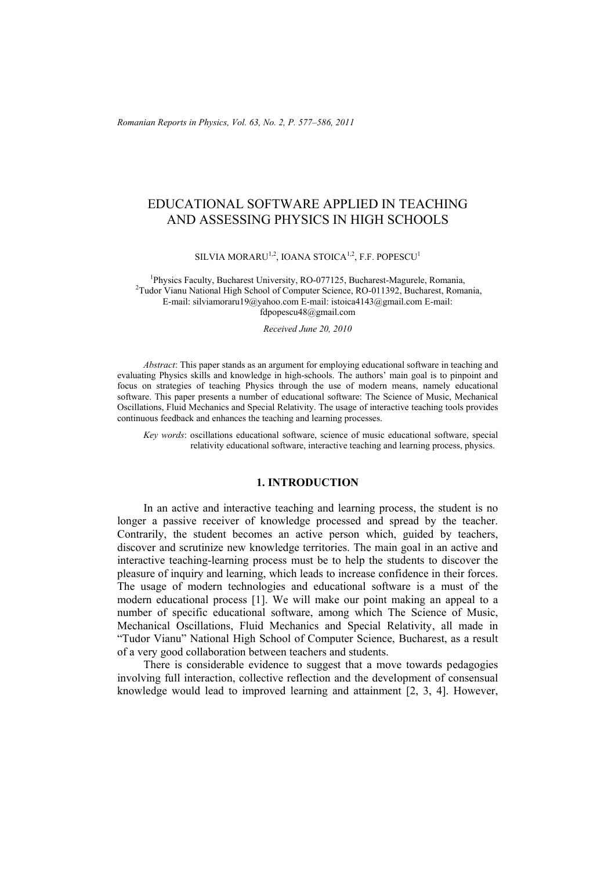*Romanian Reports in Physics, Vol. 63, No. 2, P. 577–586, 2011*

# EDUCATIONAL SOFTWARE APPLIED IN TEACHING AND ASSESSING PHYSICS IN HIGH SCHOOLS

SILVIA MORARU<sup>1,2</sup>, IOANA STOICA<sup>1,2</sup>, F.F. POPESCU<sup>1</sup>

<sup>1</sup>Physics Faculty, Bucharest University, RO-077125, Bucharest-Magurele, Romania, <sup>2</sup>Tudor Vianu National High School of Computer Science, RO-011392, Bucharest, Romania, E-mail: silviamoraru19@yahoo.com E-mail: istoica4143@gmail.com E-mail: fdpopescu48@gmail.com

*Received June 20, 2010* 

*Abstract*: This paper stands as an argument for employing educational software in teaching and evaluating Physics skills and knowledge in high-schools. The authors' main goal is to pinpoint and focus on strategies of teaching Physics through the use of modern means, namely educational software. This paper presents a number of educational software: The Science of Music, Mechanical Oscillations, Fluid Mechanics and Special Relativity. The usage of interactive teaching tools provides continuous feedback and enhances the teaching and learning processes.

*Key words*: oscillations educational software, science of music educational software, special relativity educational software, interactive teaching and learning process, physics.

# **1. INTRODUCTION**

In an active and interactive teaching and learning process, the student is no longer a passive receiver of knowledge processed and spread by the teacher. Contrarily, the student becomes an active person which, guided by teachers, discover and scrutinize new knowledge territories. The main goal in an active and interactive teaching-learning process must be to help the students to discover the pleasure of inquiry and learning, which leads to increase confidence in their forces. The usage of modern technologies and educational software is a must of the modern educational process [1]. We will make our point making an appeal to a number of specific educational software, among which The Science of Music, Mechanical Oscillations, Fluid Mechanics and Special Relativity, all made in "Tudor Vianu" National High School of Computer Science, Bucharest, as a result of a very good collaboration between teachers and students.

There is considerable evidence to suggest that a move towards pedagogies involving full interaction, collective reflection and the development of consensual knowledge would lead to improved learning and attainment [2, 3, 4]. However,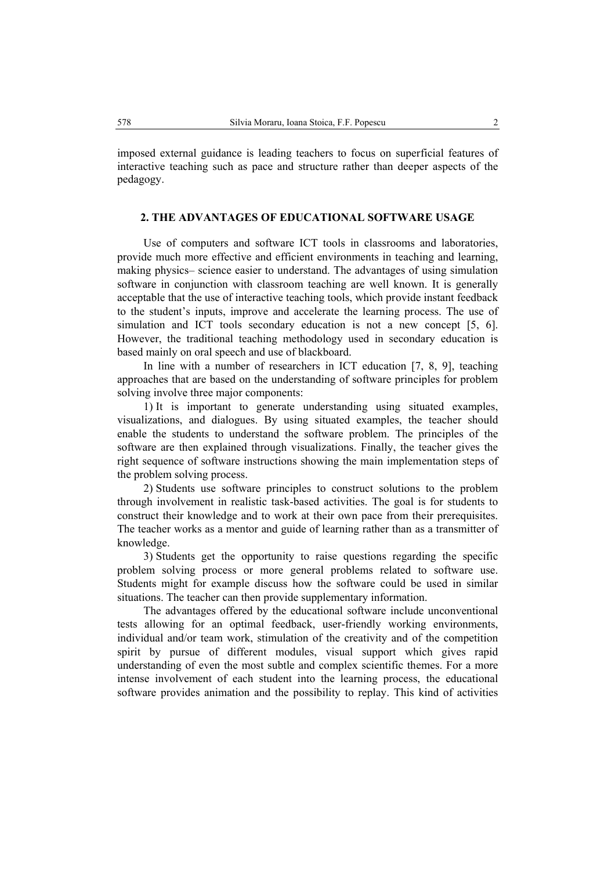imposed external guidance is leading teachers to focus on superficial features of interactive teaching such as pace and structure rather than deeper aspects of the pedagogy.

## **2. THE ADVANTAGES OF EDUCATIONAL SOFTWARE USAGE**

Use of computers and software ICT tools in classrooms and laboratories, provide much more effective and efficient environments in teaching and learning, making physics– science easier to understand. The advantages of using simulation software in conjunction with classroom teaching are well known. It is generally acceptable that the use of interactive teaching tools, which provide instant feedback to the student's inputs, improve and accelerate the learning process. The use of simulation and ICT tools secondary education is not a new concept [5, 6]. However, the traditional teaching methodology used in secondary education is based mainly on oral speech and use of blackboard.

In line with a number of researchers in ICT education [7, 8, 9], teaching approaches that are based on the understanding of software principles for problem solving involve three major components:

1) It is important to generate understanding using situated examples, visualizations, and dialogues. By using situated examples, the teacher should enable the students to understand the software problem. The principles of the software are then explained through visualizations. Finally, the teacher gives the right sequence of software instructions showing the main implementation steps of the problem solving process.

2) Students use software principles to construct solutions to the problem through involvement in realistic task-based activities. The goal is for students to construct their knowledge and to work at their own pace from their prerequisites. The teacher works as a mentor and guide of learning rather than as a transmitter of knowledge.

3) Students get the opportunity to raise questions regarding the specific problem solving process or more general problems related to software use. Students might for example discuss how the software could be used in similar situations. The teacher can then provide supplementary information.

The advantages offered by the educational software include unconventional tests allowing for an optimal feedback, user-friendly working environments, individual and/or team work, stimulation of the creativity and of the competition spirit by pursue of different modules, visual support which gives rapid understanding of even the most subtle and complex scientific themes. For a more intense involvement of each student into the learning process, the educational software provides animation and the possibility to replay. This kind of activities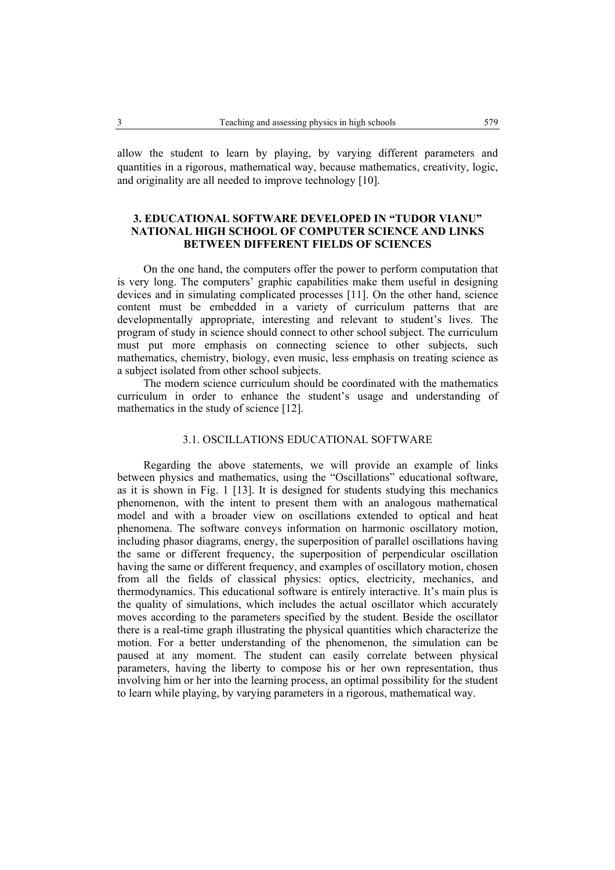allow the student to learn by playing, by varying different parameters and quantities in a rigorous, mathematical way, because mathematics, creativity, logic, and originality are all needed to improve technology [10].

# **3. EDUCATIONAL SOFTWARE DEVELOPED IN "TUDOR VIANU" NATIONAL HIGH SCHOOL OF COMPUTER SCIENCE AND LINKS BETWEEN DIFFERENT FIELDS OF SCIENCES**

On the one hand, the computers offer the power to perform computation that is very long. The computers' graphic capabilities make them useful in designing devices and in simulating complicated processes [11]. On the other hand, science content must be embedded in a variety of curriculum patterns that are developmentally appropriate, interesting and relevant to student's lives. The program of study in science should connect to other school subject. The curriculum must put more emphasis on connecting science to other subjects, such mathematics, chemistry, biology, even music, less emphasis on treating science as a subject isolated from other school subjects.

The modern science curriculum should be coordinated with the mathematics curriculum in order to enhance the student's usage and understanding of mathematics in the study of science [12].

# 3.1. OSCILLATIONS EDUCATIONAL SOFTWARE

Regarding the above statements, we will provide an example of links between physics and mathematics, using the "Oscillations" educational software, as it is shown in Fig. 1 [13]. It is designed for students studying this mechanics phenomenon, with the intent to present them with an analogous mathematical model and with a broader view on oscillations extended to optical and heat phenomena. The software conveys information on harmonic oscillatory motion, including phasor diagrams, energy, the superposition of parallel oscillations having the same or different frequency, the superposition of perpendicular oscillation having the same or different frequency, and examples of oscillatory motion, chosen from all the fields of classical physics: optics, electricity, mechanics, and thermodynamics. This educational software is entirely interactive. It's main plus is the quality of simulations, which includes the actual oscillator which accurately moves according to the parameters specified by the student. Beside the oscillator there is a real-time graph illustrating the physical quantities which characterize the motion. For a better understanding of the phenomenon, the simulation can be paused at any moment. The student can easily correlate between physical parameters, having the liberty to compose his or her own representation, thus involving him or her into the learning process, an optimal possibility for the student to learn while playing, by varying parameters in a rigorous, mathematical way.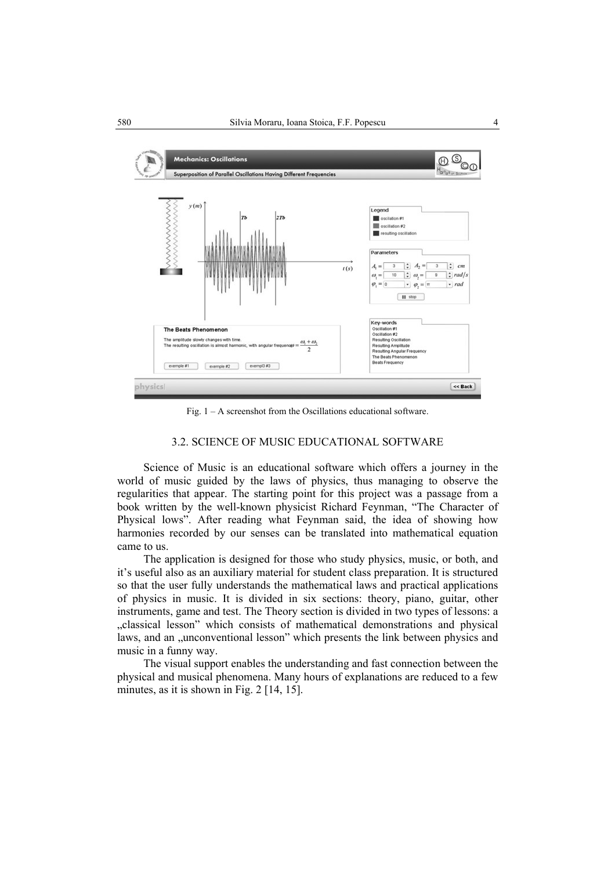

Fig.  $1 - A$  screenshot from the Oscillations educational software.

### 3.2. SCIENCE OF MUSIC EDUCATIONAL SOFTWARE

Science of Music is an educational software which offers a journey in the world of music guided by the laws of physics, thus managing to observe the regularities that appear. The starting point for this project was a passage from a book written by the well-known physicist Richard Feynman, "The Character of Physical lows". After reading what Feynman said, the idea of showing how harmonies recorded by our senses can be translated into mathematical equation came to us.

The application is designed for those who study physics, music, or both, and it's useful also as an auxiliary material for student class preparation. It is structured so that the user fully understands the mathematical laws and practical applications of physics in music. It is divided in six sections: theory, piano, guitar, other instruments, game and test. The Theory section is divided in two types of lessons: a "classical lesson" which consists of mathematical demonstrations and physical laws, and an "unconventional lesson" which presents the link between physics and music in a funny way.

The visual support enables the understanding and fast connection between the physical and musical phenomena. Many hours of explanations are reduced to a few minutes, as it is shown in Fig. 2 [14, 15].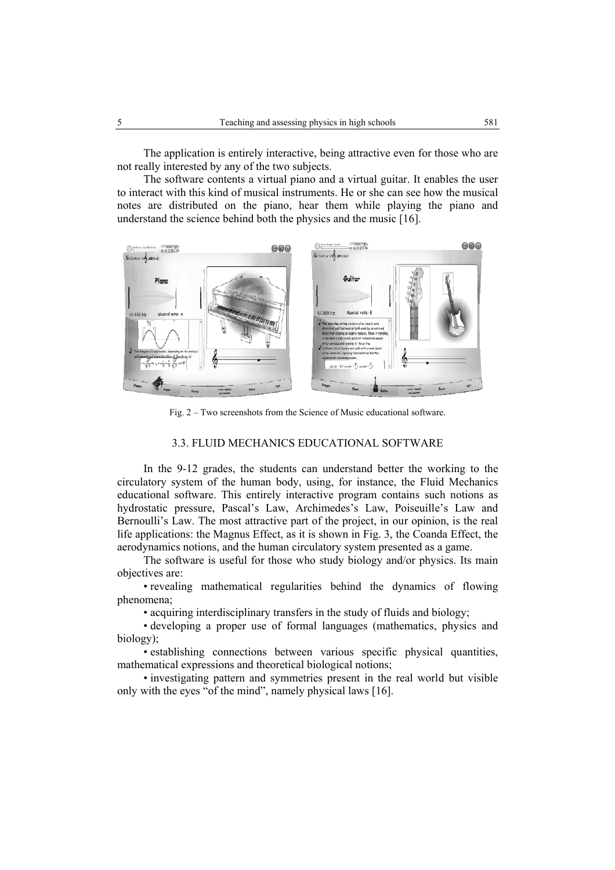The application is entirely interactive, being attractive even for those who are not really interested by any of the two subjects.

The software contents a virtual piano and a virtual guitar. It enables the user to interact with this kind of musical instruments. He or she can see how the musical notes are distributed on the piano, hear them while playing the piano and understand the science behind both the physics and the music [16].



Fig. 2 – Two screenshots from the Science of Music educational software.

### 3.3. FLUID MECHANICS EDUCATIONAL SOFTWARE

In the 9-12 grades, the students can understand better the working to the circulatory system of the human body, using, for instance, the Fluid Mechanics educational software. This entirely interactive program contains such notions as hydrostatic pressure, Pascal's Law, Archimedes's Law, Poiseuille's Law and Bernoulli's Law. The most attractive part of the project, in our opinion, is the real life applications: the Magnus Effect, as it is shown in Fig. 3, the Coanda Effect, the aerodynamics notions, and the human circulatory system presented as a game.

The software is useful for those who study biology and/or physics. Its main objectives are:

• revealing mathematical regularities behind the dynamics of flowing phenomena;

• acquiring interdisciplinary transfers in the study of fluids and biology;

• developing a proper use of formal languages (mathematics, physics and biology);

• establishing connections between various specific physical quantities, mathematical expressions and theoretical biological notions;

• investigating pattern and symmetries present in the real world but visible only with the eyes "of the mind", namely physical laws [16].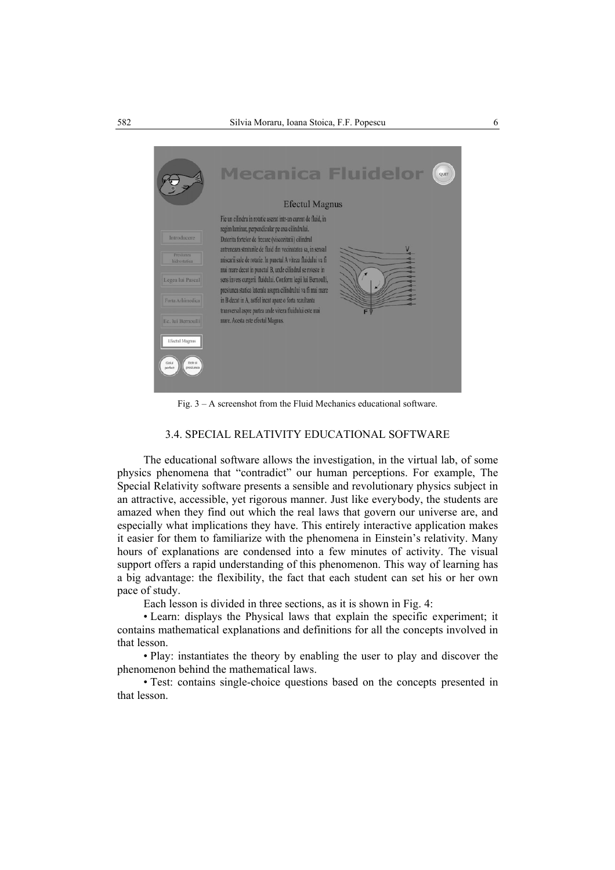

Fig. 3 – A screenshot from the Fluid Mechanics educational software.

#### 3.4. SPECIAL RELATIVITY EDUCATIONAL SOFTWARE

The educational software allows the investigation, in the virtual lab, of some physics phenomena that "contradict" our human perceptions. For example, The Special Relativity software presents a sensible and revolutionary physics subject in an attractive, accessible, yet rigorous manner. Just like everybody, the students are amazed when they find out which the real laws that govern our universe are, and especially what implications they have. This entirely interactive application makes it easier for them to familiarize with the phenomena in Einstein's relativity. Many hours of explanations are condensed into a few minutes of activity. The visual support offers a rapid understanding of this phenomenon. This way of learning has a big advantage: the flexibility, the fact that each student can set his or her own pace of study.

Each lesson is divided in three sections, as it is shown in Fig. 4:

• Learn: displays the Physical laws that explain the specific experiment; it contains mathematical explanations and definitions for all the concepts involved in that lesson.

• Play: instantiates the theory by enabling the user to play and discover the phenomenon behind the mathematical laws.

• Test: contains single-choice questions based on the concepts presented in that lesson.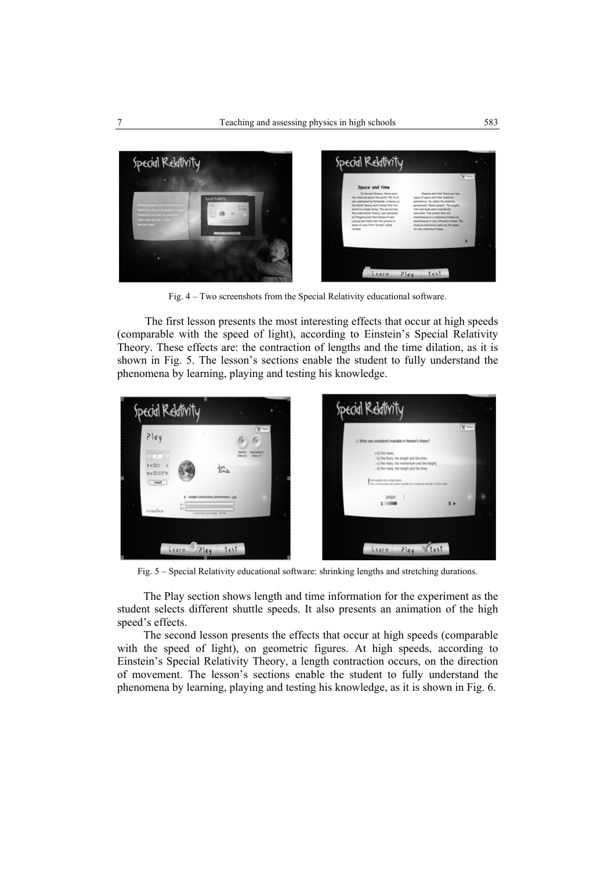

Fig. 4 – Two screenshots from the Special Relativity educational software.

The first lesson presents the most interesting effects that occur at high speeds (comparable with the speed of light), according to Einstein's Special Relativity Theory. These effects are: the contraction of lengths and the time dilation, as it is shown in Fig. 5. The lesson's sections enable the student to fully understand the phenomena by learning, playing and testing his knowledge.



Fig. 5 – Special Relativity educational software: shrinking lengths and stretching durations.

The Play section shows length and time information for the experiment as the student selects different shuttle speeds. It also presents an animation of the high speed's effects.

The second lesson presents the effects that occur at high speeds (comparable with the speed of light), on geometric figures. At high speeds, according to Einstein's Special Relativity Theory, a length contraction occurs, on the direction of movement. The lesson's sections enable the student to fully understand the phenomena by learning, playing and testing his knowledge, as it is shown in Fig. 6.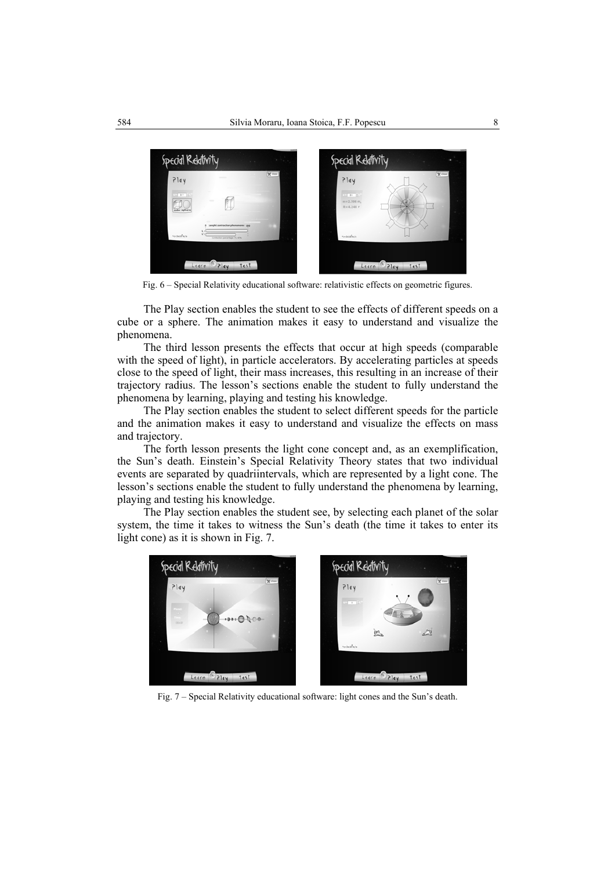

Fig. 6 – Special Relativity educational software: relativistic effects on geometric figures.

The Play section enables the student to see the effects of different speeds on a cube or a sphere. The animation makes it easy to understand and visualize the phenomena.

The third lesson presents the effects that occur at high speeds (comparable with the speed of light), in particle accelerators. By accelerating particles at speeds close to the speed of light, their mass increases, this resulting in an increase of their trajectory radius. The lesson's sections enable the student to fully understand the phenomena by learning, playing and testing his knowledge.

The Play section enables the student to select different speeds for the particle and the animation makes it easy to understand and visualize the effects on mass and trajectory.

The forth lesson presents the light cone concept and, as an exemplification, the Sun's death. Einstein's Special Relativity Theory states that two individual events are separated by quadriintervals, which are represented by a light cone. The lesson's sections enable the student to fully understand the phenomena by learning, playing and testing his knowledge.

The Play section enables the student see, by selecting each planet of the solar system, the time it takes to witness the Sun's death (the time it takes to enter its light cone) as it is shown in Fig. 7.



Fig. 7 – Special Relativity educational software: light cones and the Sun's death.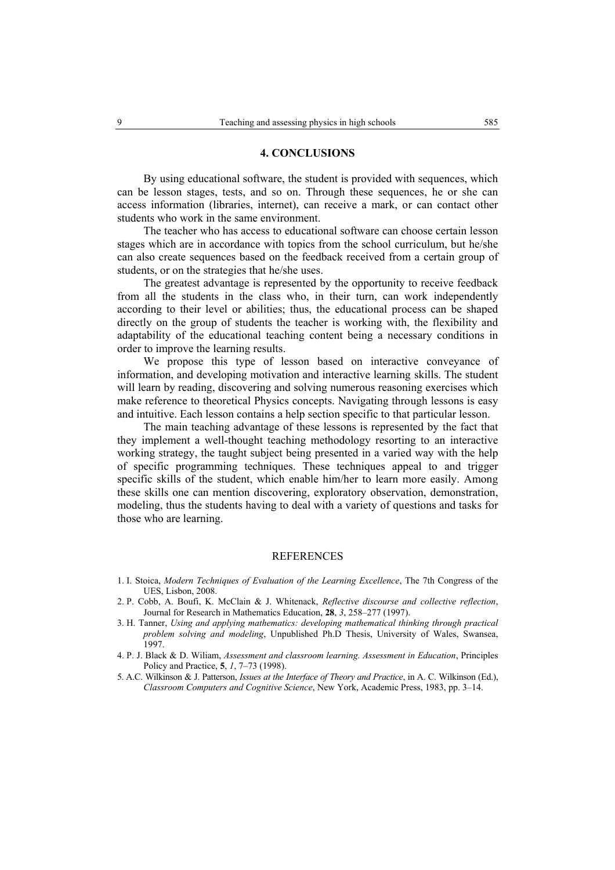#### **4. CONCLUSIONS**

By using educational software, the student is provided with sequences, which can be lesson stages, tests, and so on. Through these sequences, he or she can access information (libraries, internet), can receive a mark, or can contact other students who work in the same environment.

The teacher who has access to educational software can choose certain lesson stages which are in accordance with topics from the school curriculum, but he/she can also create sequences based on the feedback received from a certain group of students, or on the strategies that he/she uses.

The greatest advantage is represented by the opportunity to receive feedback from all the students in the class who, in their turn, can work independently according to their level or abilities; thus, the educational process can be shaped directly on the group of students the teacher is working with, the flexibility and adaptability of the educational teaching content being a necessary conditions in order to improve the learning results.

We propose this type of lesson based on interactive conveyance of information, and developing motivation and interactive learning skills. The student will learn by reading, discovering and solving numerous reasoning exercises which make reference to theoretical Physics concepts. Navigating through lessons is easy and intuitive. Each lesson contains a help section specific to that particular lesson.

The main teaching advantage of these lessons is represented by the fact that they implement a well-thought teaching methodology resorting to an interactive working strategy, the taught subject being presented in a varied way with the help of specific programming techniques. These techniques appeal to and trigger specific skills of the student, which enable him/her to learn more easily. Among these skills one can mention discovering, exploratory observation, demonstration, modeling, thus the students having to deal with a variety of questions and tasks for those who are learning.

#### REFERENCES

- 1. I. Stoica, *Modern Techniques of Evaluation of the Learning Excellence*, The 7th Congress of the UES, Lisbon, 2008.
- 2. P. Cobb, A. Boufi, K. McClain & J. Whitenack, *Reflective discourse and collective reflection*, Journal for Research in Mathematics Education, **28**, *3*, 258–277 (1997).
- 3. H. Tanner, *Using and applying mathematics: developing mathematical thinking through practical problem solving and modeling*, Unpublished Ph.D Thesis, University of Wales, Swansea, 1997.
- 4. P. J. Black & D. Wiliam, *Assessment and classroom learning. Assessment in Education*, Principles Policy and Practice, **5**, *1*, 7–73 (1998).
- 5. A.C. Wilkinson & J. Patterson, *Issues at the Interface of Theory and Practice*, in A. C. Wilkinson (Ed.), *Classroom Computers and Cognitive Science*, New York, Academic Press, 1983, pp. 3–14.